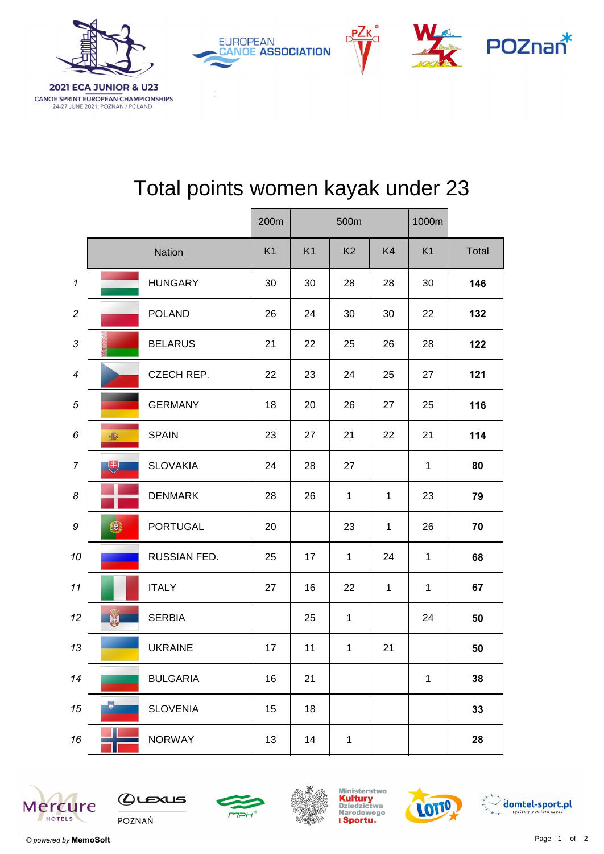

|                |    | 200m            | 500m           |                |                |              |                |       |
|----------------|----|-----------------|----------------|----------------|----------------|--------------|----------------|-------|
|                |    | Nation          | K <sub>1</sub> | K <sub>1</sub> | K <sub>2</sub> | K4           | K <sub>1</sub> | Total |
| $\mathbf{1}$   |    | <b>HUNGARY</b>  | 30             | 30             | 28             | 28           | 30             | 146   |
| $\overline{c}$ |    | <b>POLAND</b>   | 26             | 24             | 30             | 30           | 22             | 132   |
| 3              | 然深 | <b>BELARUS</b>  | 21             | 22             | 25             | 26           | 28             | 122   |
| 4              |    | CZECH REP.      | 22             | 23             | 24             | 25           | 27             | 121   |
| 5              |    | <b>GERMANY</b>  | 18             | 20             | 26             | 27           | 25             | 116   |
| 6              | 瀛  | <b>SPAIN</b>    | 23             | 27             | 21             | 22           | 21             | 114   |
| $\overline{7}$ | 电  | <b>SLOVAKIA</b> | 24             | 28             | 27             |              | $\mathbf{1}$   | 80    |
| 8              |    | <b>DENMARK</b>  | 28             | 26             | $\mathbf{1}$   | $\mathbf{1}$ | 23             | 79    |
| 9              | ●  | <b>PORTUGAL</b> | 20             |                | 23             | $\mathbf{1}$ | 26             | 70    |
| 10             |    | RUSSIAN FED.    | 25             | 17             | $\mathbf{1}$   | 24           | $\mathbf{1}$   | 68    |
| 11             |    | <b>ITALY</b>    | 27             | 16             | 22             | $\mathbf{1}$ | $\mathbf{1}$   | 67    |
| 12             |    | <b>SERBIA</b>   |                | 25             | $\mathbf{1}$   |              | 24             | 50    |
| 13             |    | <b>UKRAINE</b>  | 17             | 11             | 1              | 21           |                | 50    |
| 14             |    | <b>BULGARIA</b> | 16             | 21             |                |              | $\mathbf 1$    | 38    |
| 15             | G  | <b>SLOVENIA</b> | 15             | 18             |                |              |                | 33    |
| 16             |    | <b>NORWAY</b>   | 13             | 14             | $\mathbf{1}$   |              |                | 28    |

## Total points women kayak under 23















CANOE SPRINT EUROPEAN CHAMPIONSHIPS 24-27 JUNE 2021, POZNAN / POLAND